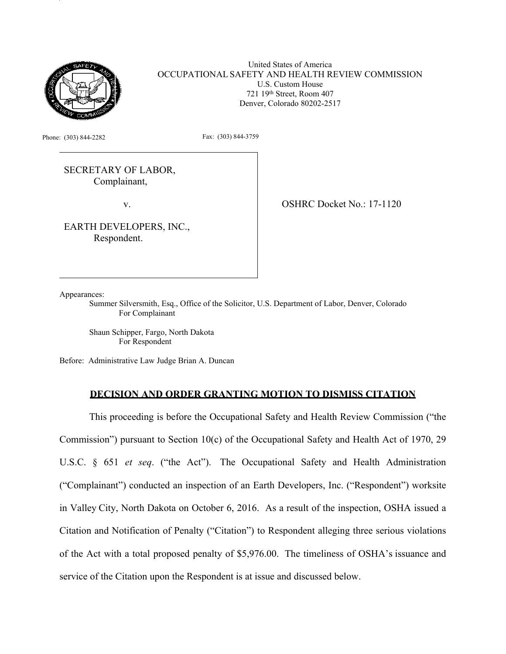

United States of America OCCUPATIONAL SAFETY AND HEALTH REVIEW COMMISSION U.S. Custom House 721 19th Street, Room 407 Denver, Colorado 80202-2517

Phone: (303) 844-2282 Fax: (303) 844-3759

SECRETARY OF LABOR, Complainant,

v.

EARTH DEVELOPERS, INC., Respondent.

OSHRC Docket No.: 17-1120

Appearances:

Summer Silversmith, Esq., Office of the Solicitor, U.S. Department of Labor, Denver, Colorado For Complainant

Shaun Schipper, Fargo, North Dakota For Respondent

Before: Administrative Law Judge Brian A. Duncan

# **DECISION AND ORDER GRANTING MOTION TO DISMISS CITATION**

This proceeding is before the Occupational Safety and Health Review Commission ("the Commission") pursuant to Section 10(c) of the Occupational Safety and Health Act of 1970, 29 U.S.C. § 651 *et seq*. ("the Act"). The Occupational Safety and Health Administration ("Complainant") conducted an inspection of an Earth Developers, Inc. ("Respondent") worksite in Valley City, North Dakota on October 6, 2016. As a result of the inspection, OSHA issued a Citation and Notification of Penalty ("Citation") to Respondent alleging three serious violations of the Act with a total proposed penalty of \$5,976.00. The timeliness of OSHA's issuance and service of the Citation upon the Respondent is at issue and discussed below.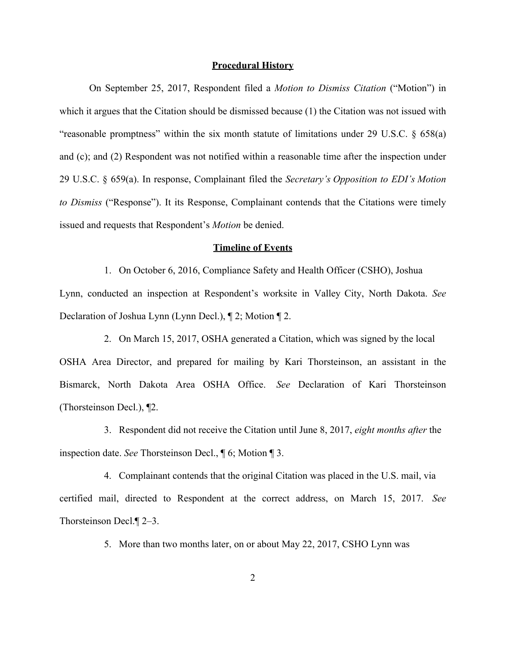## **Procedural History**

On September 25, 2017, Respondent filed a *Motion to Dismiss Citation* ("Motion") in which it argues that the Citation should be dismissed because (1) the Citation was not issued with "reasonable promptness" within the six month statute of limitations under 29 U.S.C. § 658(a) and (c); and (2) Respondent was not notified within a reasonable time after the inspection under 29 U.S.C. § 659(a). In response, Complainant filed the *Secretary's Opposition to EDI's Motion to Dismiss* ("Response"). It its Response, Complainant contends that the Citations were timely issued and requests that Respondent's *Motion* be denied.

## **Timeline of Events**

1. On October 6, 2016, Compliance Safety and Health Officer (CSHO), Joshua Lynn, conducted an inspection at Respondent's worksite in Valley City, North Dakota. *See* Declaration of Joshua Lynn (Lynn Decl.), ¶ 2; Motion ¶ 2.

2. On March 15, 2017, OSHA generated a Citation, which was signed by the local OSHA Area Director, and prepared for mailing by Kari Thorsteinson, an assistant in the Bismarck, North Dakota Area OSHA Office. *See* Declaration of Kari Thorsteinson (Thorsteinson Decl.), ¶2.

3. Respondent did not receive the Citation until June 8, 2017, *eight months after* the inspection date. *See* Thorsteinson Decl., ¶ 6; Motion ¶ 3.

4. Complainant contends that the original Citation was placed in the U.S. mail, via certified mail, directed to Respondent at the correct address, on March 15, 2017. *See* Thorsteinson Decl.¶ 2–3.

5. More than two months later, on or about May 22, 2017, CSHO Lynn was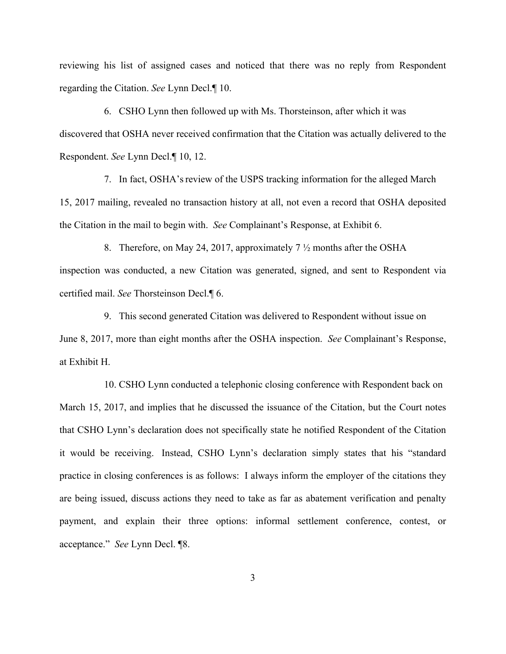reviewing his list of assigned cases and noticed that there was no reply from Respondent regarding the Citation. *See* Lynn Decl.¶ 10.

6. CSHO Lynn then followed up with Ms. Thorsteinson, after which it was discovered that OSHA never received confirmation that the Citation was actually delivered to the Respondent. *See* Lynn Decl.¶ 10, 12.

7. In fact, OSHA'sreview of the USPS tracking information for the alleged March 15, 2017 mailing, revealed no transaction history at all, not even a record that OSHA deposited the Citation in the mail to begin with. *See* Complainant's Response, at Exhibit 6.

8. Therefore, on May 24, 2017, approximately 7 ½ months after the OSHA inspection was conducted, a new Citation was generated, signed, and sent to Respondent via certified mail. *See* Thorsteinson Decl.¶ 6.

9. This second generated Citation was delivered to Respondent without issue on June 8, 2017, more than eight months after the OSHA inspection. *See* Complainant's Response, at Exhibit H.

10. CSHO Lynn conducted a telephonic closing conference with Respondent back on March 15, 2017, and implies that he discussed the issuance of the Citation, but the Court notes that CSHO Lynn's declaration does not specifically state he notified Respondent of the Citation it would be receiving. Instead, CSHO Lynn's declaration simply states that his "standard practice in closing conferences is as follows: I always inform the employer of the citations they are being issued, discuss actions they need to take as far as abatement verification and penalty payment, and explain their three options: informal settlement conference, contest, or acceptance." *See* Lynn Decl. ¶8.

3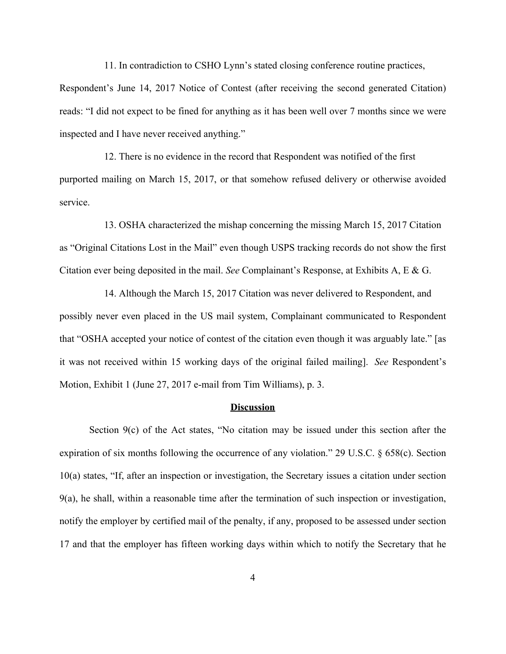11. In contradiction to CSHO Lynn's stated closing conference routine practices,

Respondent's June 14, 2017 Notice of Contest (after receiving the second generated Citation) reads: "I did not expect to be fined for anything as it has been well over 7 months since we were inspected and I have never received anything."

12. There is no evidence in the record that Respondent was notified of the first purported mailing on March 15, 2017, or that somehow refused delivery or otherwise avoided service.

13. OSHA characterized the mishap concerning the missing March 15, 2017 Citation as "Original Citations Lost in the Mail" even though USPS tracking records do not show the first Citation ever being deposited in the mail. *See* Complainant's Response, at Exhibits A, E & G.

14. Although the March 15, 2017 Citation was never delivered to Respondent, and possibly never even placed in the US mail system, Complainant communicated to Respondent that "OSHA accepted your notice of contest of the citation even though it was arguably late." [as it was not received within 15 working days of the original failed mailing]. *See* Respondent's Motion, Exhibit 1 (June 27, 2017 e-mail from Tim Williams), p. 3.

### **Discussion**

Section 9(c) of the Act states, "No citation may be issued under this section after the expiration of six months following the occurrence of any violation." 29 U.S.C. § 658(c). Section 10(a) states, "If, after an inspection or investigation, the Secretary issues a citation under section 9(a), he shall, within a reasonable time after the termination of such inspection or investigation, notify the employer by certified mail of the penalty, if any, proposed to be assessed under section 17 and that the employer has fifteen working days within which to notify the Secretary that he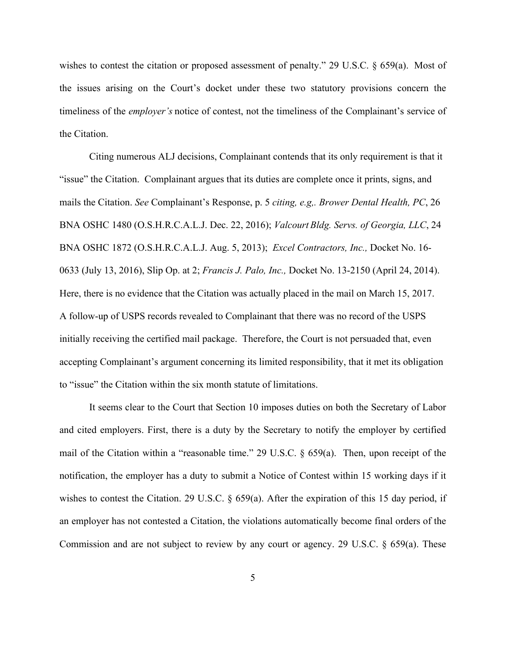wishes to contest the citation or proposed assessment of penalty." 29 U.S.C. § 659(a). Most of the issues arising on the Court's docket under these two statutory provisions concern the timeliness of the *employer's* notice of contest, not the timeliness of the Complainant's service of the Citation.

Citing numerous ALJ decisions, Complainant contends that its only requirement is that it "issue" the Citation. Complainant argues that its duties are complete once it prints, signs, and mails the Citation. *See* Complainant's Response, p. 5 *citing, e.g,. Brower Dental Health, PC*, 26 BNA OSHC 1480 (O.S.H.R.C.A.L.J. Dec. 22, 2016); *Valcourt Bldg. Servs. of Georgia, LLC*, 24 BNA OSHC 1872 (O.S.H.R.C.A.L.J. Aug. 5, 2013); *Excel Contractors, Inc.,* Docket No. 16- 0633 (July 13, 2016), Slip Op. at 2; *Francis J. Palo, Inc.,* Docket No. 13-2150 (April 24, 2014). Here, there is no evidence that the Citation was actually placed in the mail on March 15, 2017. A follow-up of USPS records revealed to Complainant that there was no record of the USPS initially receiving the certified mail package. Therefore, the Court is not persuaded that, even accepting Complainant's argument concerning its limited responsibility, that it met its obligation to "issue" the Citation within the six month statute of limitations.

It seems clear to the Court that Section 10 imposes duties on both the Secretary of Labor and cited employers. First, there is a duty by the Secretary to notify the employer by certified mail of the Citation within a "reasonable time." 29 U.S.C. § 659(a). Then, upon receipt of the notification, the employer has a duty to submit a Notice of Contest within 15 working days if it wishes to contest the Citation. 29 U.S.C. § 659(a). After the expiration of this 15 day period, if an employer has not contested a Citation, the violations automatically become final orders of the Commission and are not subject to review by any court or agency. 29 U.S.C. § 659(a). These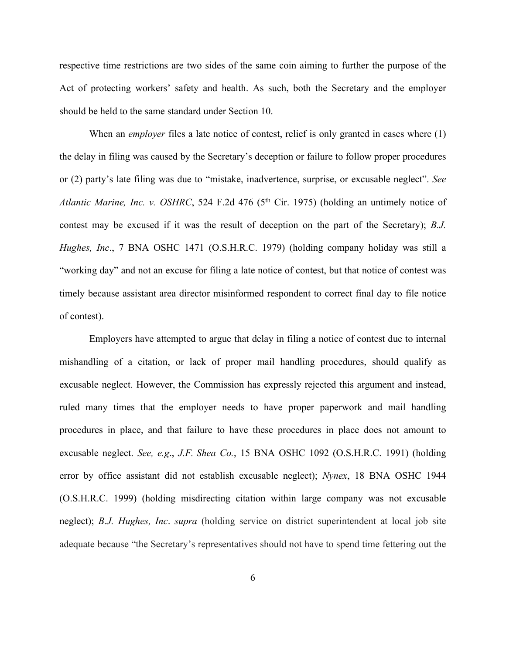respective time restrictions are two sides of the same coin aiming to further the purpose of the Act of protecting workers' safety and health. As such, both the Secretary and the employer should be held to the same standard under Section 10.

When an *employer* files a late notice of contest, relief is only granted in cases where (1) the delay in filing was caused by the Secretary's deception or failure to follow proper procedures or (2) party's late filing was due to "mistake, inadvertence, surprise, or excusable neglect". *See Atlantic Marine, Inc. v. OSHRC*, 524 F.2d 476 (5th Cir. 1975) (holding an untimely notice of contest may be excused if it was the result of deception on the part of the Secretary); *B.J. Hughes, Inc*., 7 BNA OSHC 1471 (O.S.H.R.C. 1979) (holding company holiday was still a "working day" and not an excuse for filing a late notice of contest, but that notice of contest was timely because assistant area director misinformed respondent to correct final day to file notice of contest).

Employers have attempted to argue that delay in filing a notice of contest due to internal mishandling of a citation, or lack of proper mail handling procedures, should qualify as excusable neglect. However, the Commission has expressly rejected this argument and instead, ruled many times that the employer needs to have proper paperwork and mail handling procedures in place, and that failure to have these procedures in place does not amount to excusable neglect. *See, e.g*., *J.F. Shea Co.*, 15 BNA OSHC 1092 (O.S.H.R.C. 1991) (holding error by office assistant did not establish excusable neglect); *Nynex*, 18 BNA OSHC 1944 (O.S.H.R.C. 1999) (holding misdirecting citation within large company was not excusable neglect); *B.J. Hughes, Inc*. *supra* (holding service on district superintendent at local job site adequate because "the Secretary's representatives should not have to spend time fettering out the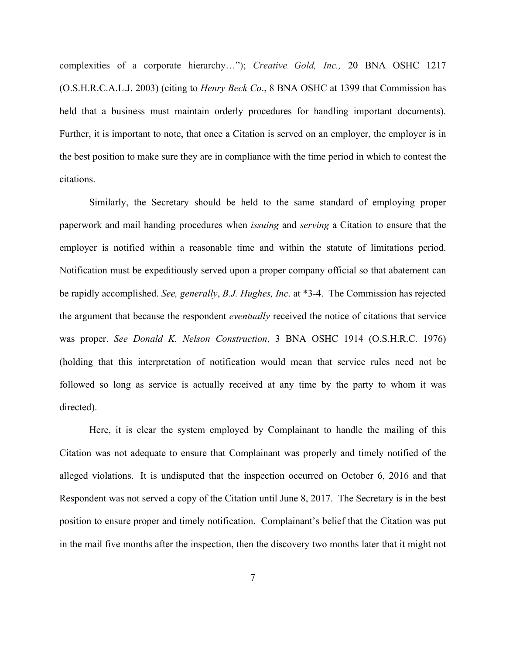complexities of a corporate hierarchy…"); *Creative Gold, Inc.,* 20 BNA OSHC 1217 (O.S.H.R.C.A.L.J. 2003) (citing to *Henry Beck Co*., 8 BNA OSHC at 1399 that Commission has held that a business must maintain orderly procedures for handling important documents). Further, it is important to note, that once a Citation is served on an employer, the employer is in the best position to make sure they are in compliance with the time period in which to contest the citations.

Similarly, the Secretary should be held to the same standard of employing proper paperwork and mail handing procedures when *issuing* and *serving* a Citation to ensure that the employer is notified within a reasonable time and within the statute of limitations period. Notification must be expeditiously served upon a proper company official so that abatement can be rapidly accomplished. *See, generally*, *B.J. Hughes, Inc*. at \*3-4. The Commission has rejected the argument that because the respondent *eventually* received the notice of citations that service was proper. *See Donald K. Nelson Construction*, 3 BNA OSHC 1914 (O.S.H.R.C. 1976) (holding that this interpretation of notification would mean that service rules need not be followed so long as service is actually received at any time by the party to whom it was directed).

Here, it is clear the system employed by Complainant to handle the mailing of this Citation was not adequate to ensure that Complainant was properly and timely notified of the alleged violations. It is undisputed that the inspection occurred on October 6, 2016 and that Respondent was not served a copy of the Citation until June 8, 2017. The Secretary is in the best position to ensure proper and timely notification. Complainant's belief that the Citation was put in the mail five months after the inspection, then the discovery two months later that it might not